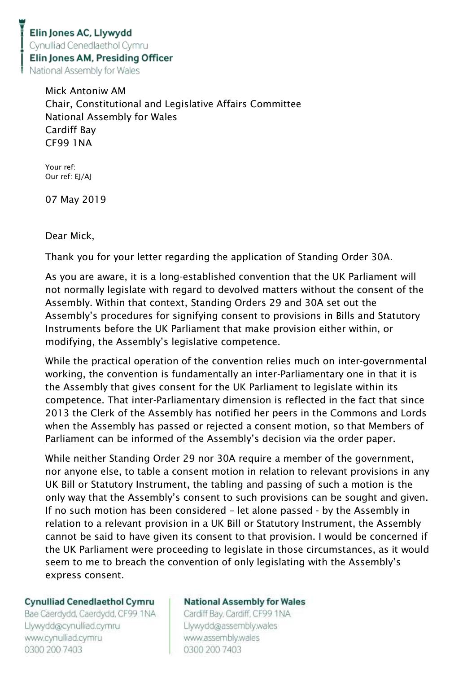Mick Antoniw AM Chair, Constitutional and Legislative Affairs Committee National Assembly for Wales Cardiff Bay CF99 1NA

Your ref: Our ref: EJ/AJ

07 May 2019

Dear Mick,

Thank you for your letter regarding the application of Standing Order 30A.

As you are aware, it is a long-established convention that the UK Parliament will not normally legislate with regard to devolved matters without the consent of the Assembly. Within that context, Standing Orders 29 and 30A set out the Assembly's procedures for signifying consent to provisions in Bills and Statutory Instruments before the UK Parliament that make provision either within, or modifying, the Assembly's legislative competence.

While the practical operation of the convention relies much on inter-governmental working, the convention is fundamentally an inter-Parliamentary one in that it is the Assembly that gives consent for the UK Parliament to legislate within its competence. That inter-Parliamentary dimension is reflected in the fact that since 2013 the Clerk of the Assembly has notified her peers in the Commons and Lords when the Assembly has passed or rejected a consent motion, so that Members of Parliament can be informed of the Assembly's decision via the order paper.

While neither Standing Order 29 nor 30A require a member of the government, nor anyone else, to table a consent motion in relation to relevant provisions in any UK Bill or Statutory Instrument, the tabling and passing of such a motion is the only way that the Assembly's consent to such provisions can be sought and given. If no such motion has been considered – let alone passed - by the Assembly in relation to a relevant provision in a UK Bill or Statutory Instrument, the Assembly cannot be said to have given its consent to that provision. I would be concerned if the UK Parliament were proceeding to legislate in those circumstances, as it would seem to me to breach the convention of only legislating with the Assembly's express consent.

## **Cynulliad Cenedlaethol Cymru**

Bae Caerdydd, Caerdydd, CF99 1NA Llywydd@cynulliad.cymru www.cynulliad.cymru 0300 200 7403

## **National Assembly for Wales**

Cardiff Bay, Cardiff, CF99 1NA Llywydd@assembly.wales www.assembly.wales 0300 200 7403